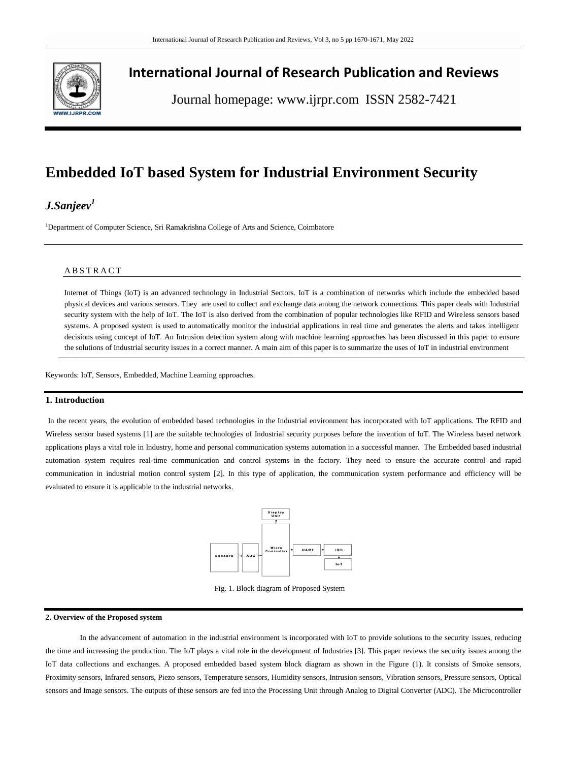

# **International Journal of Research Publication and Reviews**

Journal homepage: www.ijrpr.com ISSN 2582-7421

# **Embedded IoT based System for Industrial Environment Security**

# *J.Sanjeev<sup>1</sup>*

<sup>1</sup>Department of Computer Science, Sri Ramakrishna College of Arts and Science, Coimbatore

### A B S T R A C T

Internet of Things (IoT) is an advanced technology in Industrial Sectors. IoT is a combination of networks which include the embedded based physical devices and various sensors. They are used to collect and exchange data among the network connections. This paper deals with Industrial security system with the help of IoT. The IoT is also derived from the combination of popular technologies like RFID and Wireless sensors based systems. A proposed system is used to automatically monitor the industrial applications in real time and generates the alerts and takes intelligent decisions using concept of IoT. An Intrusion detection system along with machine learning approaches has been discussed in this paper to ensure the solutions of Industrial security issues in a correct manner. A main aim of this paper is to summarize the uses of IoT in industrial environment

Keywords: IoT, Sensors, Embedded, Machine Learning approaches.

## **1. Introduction**

In the recent years, the evolution of embedded based technologies in the Industrial environment has incorporated with IoT applications. The RFID and Wireless sensor based systems [1] are the suitable technologies of Industrial security purposes before the invention of IoT. The Wireless based network applications plays a vital role in Industry, home and personal communication systems automation in a successful manner. The Embedded based industrial automation system requires real-time communication and control systems in the factory. They need to ensure the accurate control and rapid communication in industrial motion control system [2]. In this type of application, the communication system performance and efficiency will be evaluated to ensure it is applicable to the industrial networks.



Fig. 1. Block diagram of Proposed System

### **2. Overview of the Proposed system**

In the advancement of automation in the industrial environment is incorporated with IoT to provide solutions to the security issues, reducing the time and increasing the production. The IoT plays a vital role in the development of Industries [3]. This paper reviews the security issues among the IoT data collections and exchanges. A proposed embedded based system block diagram as shown in the Figure (1). It consists of Smoke sensors, Proximity sensors, Infrared sensors, Piezo sensors, Temperature sensors, Humidity sensors, Intrusion sensors, Vibration sensors, Pressure sensors, Optical sensors and Image sensors. The outputs of these sensors are fed into the Processing Unit through Analog to Digital Converter (ADC). The Microcontroller